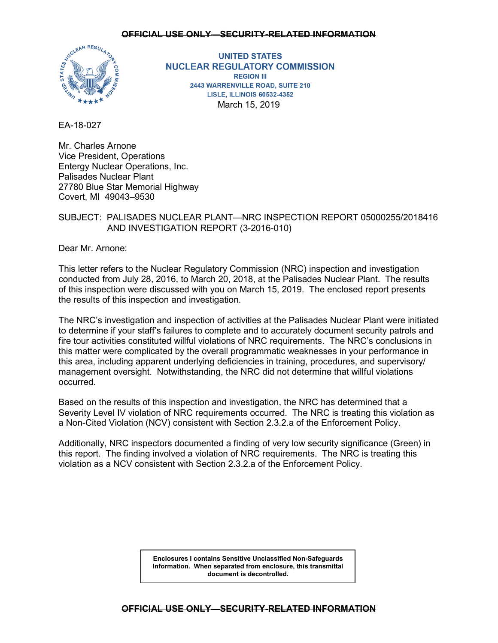

**UNITED STATES NUCLEAR REGULATORY COMMISSION REGION III** 2443 WARRENVILLE ROAD, SUITE 210 **LISLE, ILLINOIS 60532-4352** March 15, 2019

EA-18-027

Mr. Charles Arnone Vice President, Operations Entergy Nuclear Operations, Inc. Palisades Nuclear Plant 27780 Blue Star Memorial Highway Covert, MI 49043–9530

# SUBJECT: PALISADES NUCLEAR PLANT—NRC INSPECTION REPORT 05000255/2018416 AND INVESTIGATION REPORT (3-2016-010)

Dear Mr. Arnone:

This letter refers to the Nuclear Regulatory Commission (NRC) inspection and investigation conducted from July 28, 2016, to March 20, 2018, at the Palisades Nuclear Plant. The results of this inspection were discussed with you on March 15, 2019. The enclosed report presents the results of this inspection and investigation.

The NRC's investigation and inspection of activities at the Palisades Nuclear Plant were initiated to determine if your staff's failures to complete and to accurately document security patrols and fire tour activities constituted willful violations of NRC requirements. The NRC's conclusions in this matter were complicated by the overall programmatic weaknesses in your performance in this area, including apparent underlying deficiencies in training, procedures, and supervisory/ management oversight. Notwithstanding, the NRC did not determine that willful violations occurred.

Based on the results of this inspection and investigation, the NRC has determined that a Severity Level IV violation of NRC requirements occurred. The NRC is treating this violation as a Non-Cited Violation (NCV) consistent with Section 2.3.2.a of the Enforcement Policy.

Additionally, NRC inspectors documented a finding of very low security significance (Green) in this report. The finding involved a violation of NRC requirements. The NRC is treating this violation as a NCV consistent with Section 2.3.2.a of the Enforcement Policy.

> **Enclosures I contains Sensitive Unclassified Non-Safeguards Information. When separated from enclosure, this transmittal document is decontrolled.**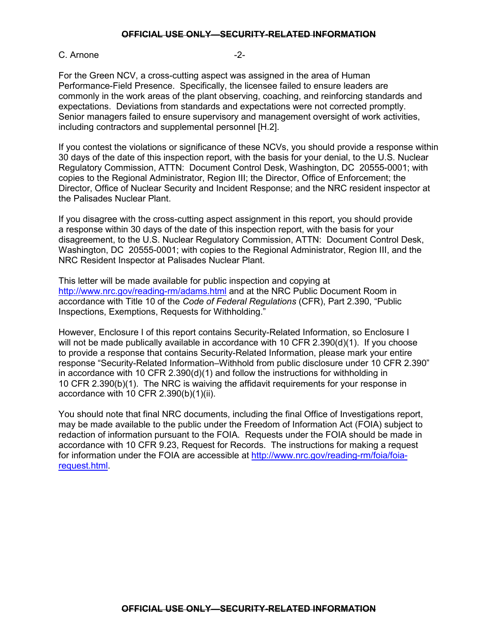## C. Arnone -2-

For the Green NCV, a cross-cutting aspect was assigned in the area of Human Performance-Field Presence. Specifically, the licensee failed to ensure leaders are commonly in the work areas of the plant observing, coaching, and reinforcing standards and expectations. Deviations from standards and expectations were not corrected promptly. Senior managers failed to ensure supervisory and management oversight of work activities, including contractors and supplemental personnel [H.2].

If you contest the violations or significance of these NCVs, you should provide a response within 30 days of the date of this inspection report, with the basis for your denial, to the U.S. Nuclear Regulatory Commission, ATTN: Document Control Desk, Washington, DC 20555-0001; with copies to the Regional Administrator, Region III; the Director, Office of Enforcement; the Director, Office of Nuclear Security and Incident Response; and the NRC resident inspector at the Palisades Nuclear Plant.

If you disagree with the cross-cutting aspect assignment in this report, you should provide a response within 30 days of the date of this inspection report, with the basis for your disagreement, to the U.S. Nuclear Regulatory Commission, ATTN: Document Control Desk, Washington, DC 20555-0001; with copies to the Regional Administrator, Region III, and the NRC Resident Inspector at Palisades Nuclear Plant.

This letter will be made available for public inspection and copying at <http://www.nrc.gov/reading-rm/adams.html> and at the NRC Public Document Room in accordance with Title 10 of the *Code of Federal Regulations* (CFR), Part 2.390, "Public Inspections, Exemptions, Requests for Withholding."

However, Enclosure I of this report contains Security-Related Information, so Enclosure I will not be made publically available in accordance with 10 CFR 2.390(d)(1). If you choose to provide a response that contains Security-Related Information, please mark your entire response "Security-Related Information–Withhold from public disclosure under 10 CFR 2.390" in accordance with 10 CFR 2.390(d)(1) and follow the instructions for withholding in 10 CFR 2.390(b)(1). The NRC is waiving the affidavit requirements for your response in accordance with 10 CFR 2.390(b)(1)(ii).

You should note that final NRC documents, including the final Office of Investigations report, may be made available to the public under the Freedom of Information Act (FOIA) subject to redaction of information pursuant to the FOIA. Requests under the FOIA should be made in accordance with 10 CFR 9.23, Request for Records. The instructions for making a request for information under the FOIA are accessible at [http://www.nrc.gov/reading-rm/foia/foia](http://www.nrc.gov/reading-rm/foia/foia-request.html)[request.html.](http://www.nrc.gov/reading-rm/foia/foia-request.html)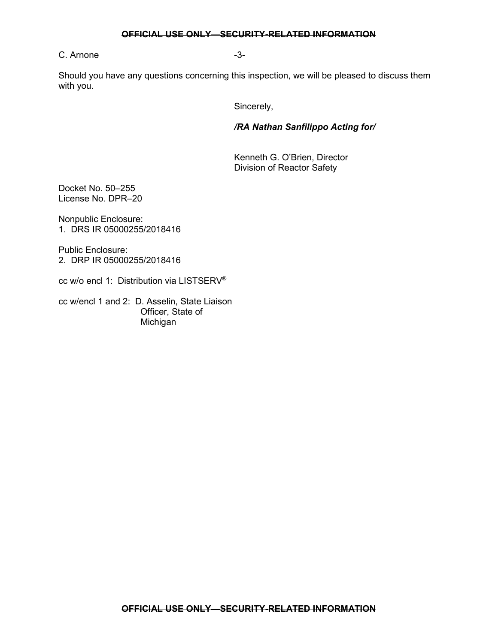# C. Arnone -3-

Should you have any questions concerning this inspection, we will be pleased to discuss them with you.

Sincerely,

*/RA Nathan Sanfilippo Acting for/*

Kenneth G. O'Brien, Director Division of Reactor Safety

Docket No. 50–255 License No. DPR–20

Nonpublic Enclosure: 1. DRS IR 05000255/2018416

Public Enclosure: 2. DRP IR 05000255/2018416

cc w/o encl 1: Distribution via LISTSERV®

cc w/encl 1 and 2: D. Asselin, State Liaison Officer, State of Michigan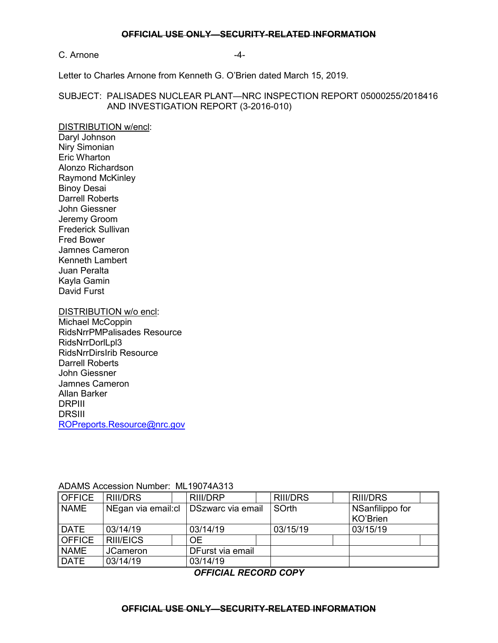## C. Arnone  $-4$ -

Letter to Charles Arnone from Kenneth G. O'Brien dated March 15, 2019.

# SUBJECT: PALISADES NUCLEAR PLANT—NRC INSPECTION REPORT 05000255/2018416 AND INVESTIGATION REPORT (3-2016-010)

## DISTRIBUTION w/encl:

Daryl Johnson Niry Simonian Eric Wharton Alonzo Richardson Raymond McKinley Binoy Desai Darrell Roberts John Giessner Jeremy Groom Frederick Sullivan Fred Bower Jamnes Cameron Kenneth Lambert Juan Peralta Kayla Gamin David Furst

# DISTRIBUTION w/o encl:

Michael McCoppin RidsNrrPMPalisades Resource RidsNrrDorlLpl3 RidsNrrDirsIrib Resource Darrell Roberts John Giessner Jamnes Cameron Allan Barker DRPIII DRSIII [ROPreports.Resource@nrc.gov](mailto:ROPreports.Resource@nrc.gov)

## ADAMS Accession Number: ML19074A313

| ∥OFFICE                         | RIII/DRS                                |  | RIII/DRP         | <b>RIII/DRS</b> | <b>RIII/DRS</b> |  |
|---------------------------------|-----------------------------------------|--|------------------|-----------------|-----------------|--|
| <b>NAME</b>                     | NEgan via email: cl   DSzwarc via email |  |                  | SOrth           | NSanfilippo for |  |
|                                 |                                         |  |                  |                 | KO'Brien        |  |
| <b>I</b> DATE                   | 03/14/19                                |  | 03/14/19         | 03/15/19        | 03/15/19        |  |
| $\overline{\phantom{a}}$ OFFICE | <b>RIII/EICS</b>                        |  | OE.              |                 |                 |  |
| <b>NAME</b>                     | <b>JCameron</b>                         |  | DFurst via email |                 |                 |  |
| DATE                            | 03/14/19                                |  | 03/14/19         |                 |                 |  |

## *OFFICIAL RECORD COPY*

#### **OFFICIAL USE ONLY—SECURITY-RELATED INFORMATION**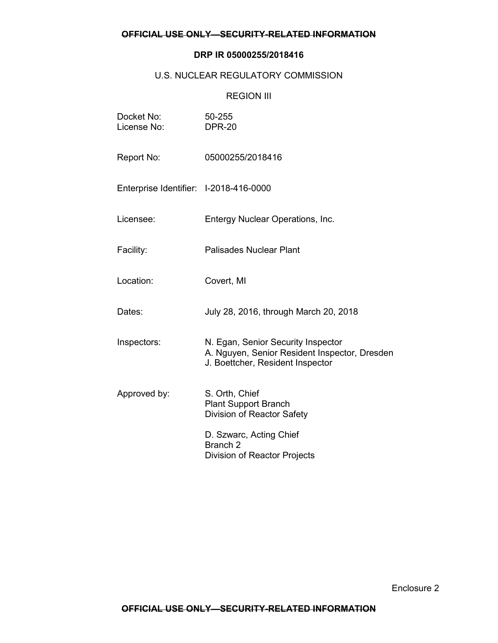# **DRP IR 05000255/2018416**

# U.S. NUCLEAR REGULATORY COMMISSION

# REGION III

| Docket No:<br>License No:              | 50-255<br><b>DPR-20</b>                                                                                                 |
|----------------------------------------|-------------------------------------------------------------------------------------------------------------------------|
| Report No:                             | 05000255/2018416                                                                                                        |
| Enterprise Identifier: I-2018-416-0000 |                                                                                                                         |
| Licensee:                              | Entergy Nuclear Operations, Inc.                                                                                        |
| Facility:                              | <b>Palisades Nuclear Plant</b>                                                                                          |
| Location:                              | Covert, MI                                                                                                              |
| Dates:                                 | July 28, 2016, through March 20, 2018                                                                                   |
| Inspectors:                            | N. Egan, Senior Security Inspector<br>A. Nguyen, Senior Resident Inspector, Dresden<br>J. Boettcher, Resident Inspector |
| Approved by:                           | S. Orth, Chief<br><b>Plant Support Branch</b><br>Division of Reactor Safety                                             |
|                                        | D. Szwarc, Acting Chief<br>Branch <sub>2</sub><br>Division of Reactor Projects                                          |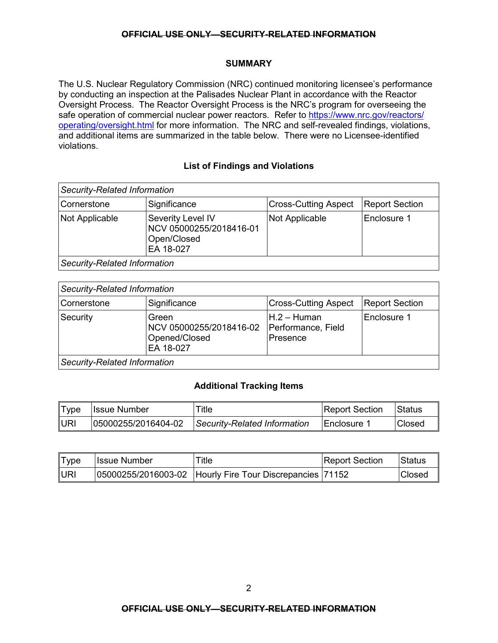## **SUMMARY**

The U.S. Nuclear Regulatory Commission (NRC) continued monitoring licensee's performance by conducting an inspection at the Palisades Nuclear Plant in accordance with the Reactor Oversight Process. The Reactor Oversight Process is the NRC's program for overseeing the safe operation of commercial nuclear power reactors. Refer to [https://www.nrc.gov/reactors/](https://www.nrc.gov/reactors/operating/oversight.html) [operating/oversight.html](https://www.nrc.gov/reactors/operating/oversight.html) for more information. The NRC and self-revealed findings, violations, and additional items are summarized in the table below. There were no Licensee-identified violations.

# **List of Findings and Violations**

| Security-Related Information |                                                                          |                             |                       |  |
|------------------------------|--------------------------------------------------------------------------|-----------------------------|-----------------------|--|
| Cornerstone                  | Significance                                                             | <b>Cross-Cutting Aspect</b> | <b>Report Section</b> |  |
| Not Applicable               | Severity Level IV<br>NCV 05000255/2018416-01<br>Open/Closed<br>EA 18-027 | Not Applicable              | Enclosure 1           |  |
| Security-Related Information |                                                                          |                             |                       |  |

*Security-Related Information* Cornerstone Significance | Cross-Cutting Aspect | Report Section Security Green NCV 05000255/2018416-02 Opened/Closed H.2 – Human Performance, Field Presence Enclosure 1

EA 18-027

*Security-Related Information*

# **Additional Tracking Items**

| <b>Type</b> | <b>Issue Number</b> | Title                        | <b>Report Section</b> | Status        |
|-------------|---------------------|------------------------------|-----------------------|---------------|
| <b>JURI</b> | 05000255/2016404-02 | Security-Related Information | ∃Enclosure            | <b>Closed</b> |

| Type        | IIssue Number | Title                                                    | <b>Report Section</b> | Status        |
|-------------|---------------|----------------------------------------------------------|-----------------------|---------------|
| <b>IURI</b> |               | 05000255/2016003-02 Hourly Fire Tour Discrepancies 71152 |                       | <b>Closed</b> |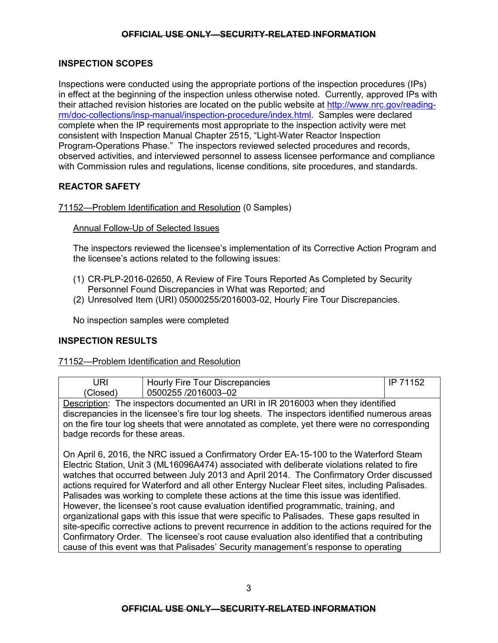# **INSPECTION SCOPES**

Inspections were conducted using the appropriate portions of the inspection procedures (IPs) in effect at the beginning of the inspection unless otherwise noted. Currently, approved IPs with their attached revision histories are located on the public website at [http://www.nrc.gov/reading](http://www.nrc.gov/reading-rm/doc-collections/insp-manual/inspection-procedure/index.html)[rm/doc-collections/insp-manual/inspection-procedure/index.html.](http://www.nrc.gov/reading-rm/doc-collections/insp-manual/inspection-procedure/index.html) Samples were declared complete when the IP requirements most appropriate to the inspection activity were met consistent with Inspection Manual Chapter 2515, "Light-Water Reactor Inspection Program-Operations Phase." The inspectors reviewed selected procedures and records, observed activities, and interviewed personnel to assess licensee performance and compliance with Commission rules and regulations, license conditions, site procedures, and standards.

# **REACTOR SAFETY**

# 71152—Problem Identification and Resolution (0 Samples)

## Annual Follow-Up of Selected Issues

The inspectors reviewed the licensee's implementation of its Corrective Action Program and the licensee's actions related to the following issues:

- (1) CR-PLP-2016-02650, A Review of Fire Tours Reported As Completed by Security Personnel Found Discrepancies in What was Reported; and
- (2) Unresolved Item (URI) 05000255/2016003-02, Hourly Fire Tour Discrepancies.

No inspection samples were completed

# **INSPECTION RESULTS**

## 71152—Problem Identification and Resolution

|                                                                                          | Hourly Fire Tour Discrepancies | 71152<br>IP |  |
|------------------------------------------------------------------------------------------|--------------------------------|-------------|--|
| Closed'                                                                                  | 0500255 /2016003-02            |             |  |
| Desembles The best extent decimental and DU by ID 0040000 where the colder the different |                                |             |  |

Description: The inspectors documented an URI in IR 2016003 when they identified discrepancies in the licensee's fire tour log sheets. The inspectors identified numerous areas on the fire tour log sheets that were annotated as complete, yet there were no corresponding badge records for these areas.

On April 6, 2016, the NRC issued a Confirmatory Order EA-15-100 to the Waterford Steam Electric Station, Unit 3 (ML16096A474) associated with deliberate violations related to fire watches that occurred between July 2013 and April 2014. The Confirmatory Order discussed actions required for Waterford and all other Entergy Nuclear Fleet sites, including Palisades. Palisades was working to complete these actions at the time this issue was identified. However, the licensee's root cause evaluation identified programmatic, training, and organizational gaps with this issue that were specific to Palisades. These gaps resulted in site-specific corrective actions to prevent recurrence in addition to the actions required for the Confirmatory Order. The licensee's root cause evaluation also identified that a contributing cause of this event was that Palisades' Security management's response to operating